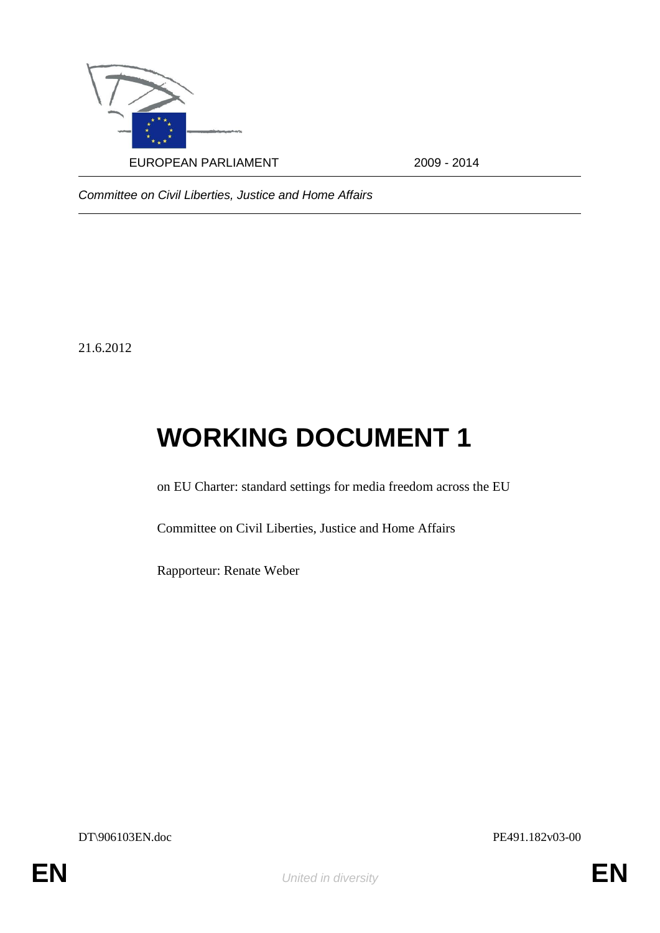

*Committee on Civil Liberties, Justice and Home Affairs*

21.6.2012

## **WORKING DOCUMENT 1**

on EU Charter: standard settings for media freedom across the EU

Committee on Civil Liberties, Justice and Home Affairs

Rapporteur: Renate Weber

DT\906103EN.doc PE491.182v03-00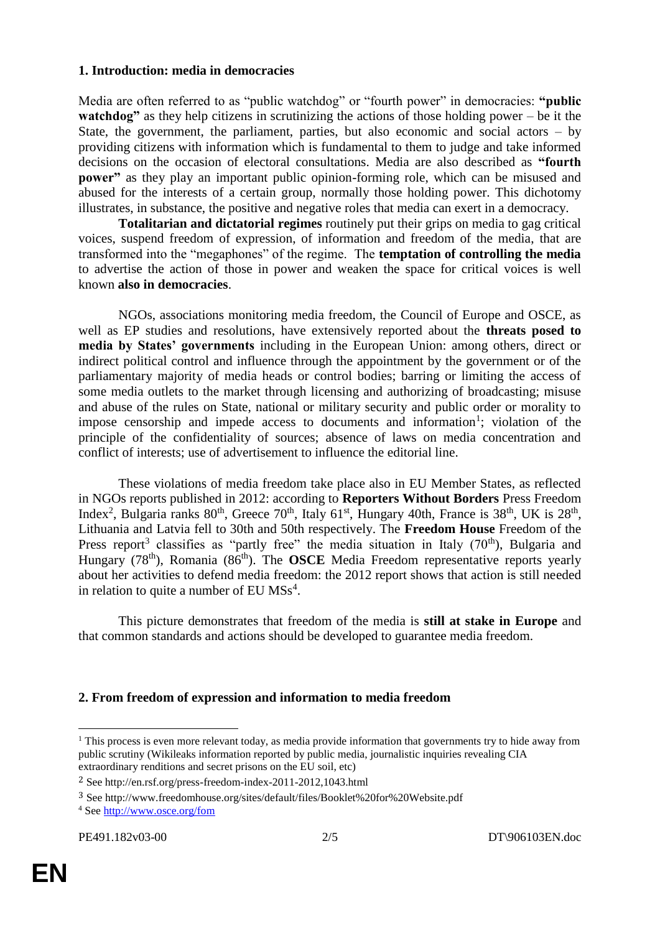## **1. Introduction: media in democracies**

Media are often referred to as "public watchdog" or "fourth power" in democracies: **"public watchdog"** as they help citizens in scrutinizing the actions of those holding power – be it the State, the government, the parliament, parties, but also economic and social actors  $-$  by providing citizens with information which is fundamental to them to judge and take informed decisions on the occasion of electoral consultations. Media are also described as **"fourth power"** as they play an important public opinion-forming role, which can be misused and abused for the interests of a certain group, normally those holding power. This dichotomy illustrates, in substance, the positive and negative roles that media can exert in a democracy.

**Totalitarian and dictatorial regimes** routinely put their grips on media to gag critical voices, suspend freedom of expression, of information and freedom of the media, that are transformed into the "megaphones" of the regime. The **temptation of controlling the media** to advertise the action of those in power and weaken the space for critical voices is well known **also in democracies**.

NGOs, associations monitoring media freedom, the Council of Europe and OSCE, as well as EP studies and resolutions, have extensively reported about the **threats posed to media by States' governments** including in the European Union: among others, direct or indirect political control and influence through the appointment by the government or of the parliamentary majority of media heads or control bodies; barring or limiting the access of some media outlets to the market through licensing and authorizing of broadcasting; misuse and abuse of the rules on State, national or military security and public order or morality to impose censorship and impede access to documents and information<sup>1</sup>; violation of the principle of the confidentiality of sources; absence of laws on media concentration and conflict of interests; use of advertisement to influence the editorial line.

These violations of media freedom take place also in EU Member States, as reflected in NGOs reports published in 2012: according to **Reporters Without Borders** Press Freedom Index<sup>2</sup>, Bulgaria ranks  $80<sup>th</sup>$ , Greece  $70<sup>th</sup>$ , Italy  $61<sup>st</sup>$ , Hungary 40th, France is  $38<sup>th</sup>$ , UK is  $28<sup>th</sup>$ , Lithuania and Latvia fell to 30th and 50th respectively. The **Freedom House** Freedom of the Press report<sup>3</sup> classifies as "partly free" the media situation in Italy  $(70<sup>th</sup>)$ , Bulgaria and Hungary (78<sup>th</sup>), Romania (86<sup>th</sup>). The **OSCE** Media Freedom representative reports yearly about her activities to defend media freedom: the 2012 report shows that action is still needed in relation to quite a number of EU  $MSS<sup>4</sup>$ .

This picture demonstrates that freedom of the media is **still at stake in Europe** and that common standards and actions should be developed to guarantee media freedom.

## **2. From freedom of expression and information to media freedom**

<sup>1</sup>  $1$  This process is even more relevant today, as media provide information that governments try to hide away from public scrutiny (Wikileaks information reported by public media, journalistic inquiries revealing CIA extraordinary renditions and secret prisons on the EU soil, etc)

<sup>2</sup> See http://en.rsf.org/press-freedom-index-2011-2012,1043.html

<sup>3</sup> See http://www.freedomhouse.org/sites/default/files/Booklet%20for%20Website.pdf

<sup>4</sup> See<http://www.osce.org/fom>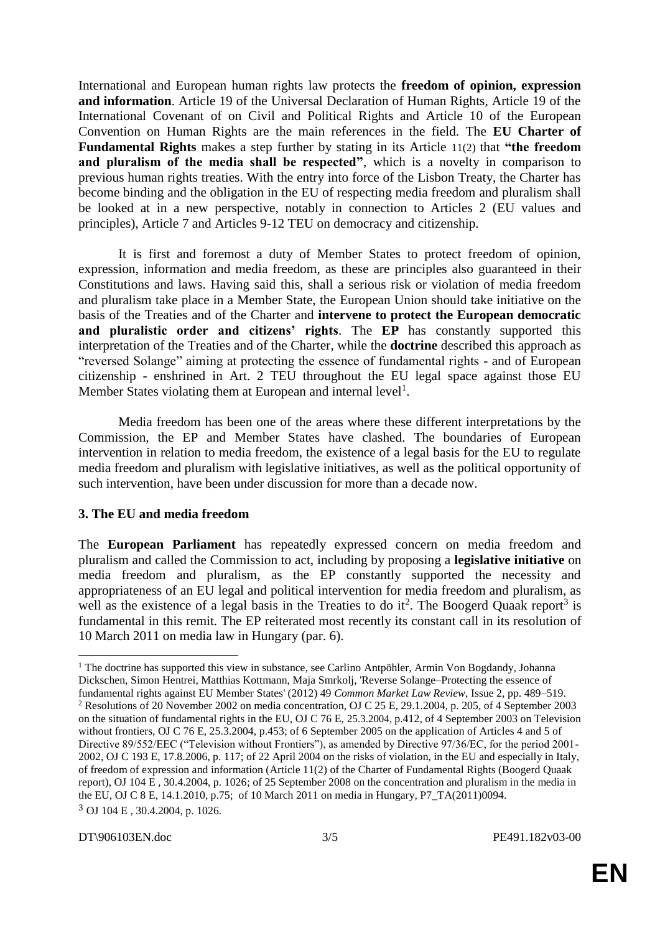International and European human rights law protects the **freedom of opinion, expression and information**. Article 19 of the Universal Declaration of Human Rights, Article 19 of the International Covenant of on Civil and Political Rights and Article 10 of the European Convention on Human Rights are the main references in the field. The **EU Charter of Fundamental Rights** makes a step further by stating in its Article 11(2) that **"the freedom and pluralism of the media shall be respected"**, which is a novelty in comparison to previous human rights treaties. With the entry into force of the Lisbon Treaty, the Charter has become binding and the obligation in the EU of respecting media freedom and pluralism shall be looked at in a new perspective, notably in connection to Articles 2 (EU values and principles), Article 7 and Articles 9-12 TEU on democracy and citizenship.

It is first and foremost a duty of Member States to protect freedom of opinion, expression, information and media freedom, as these are principles also guaranteed in their Constitutions and laws. Having said this, shall a serious risk or violation of media freedom and pluralism take place in a Member State, the European Union should take initiative on the basis of the Treaties and of the Charter and **intervene to protect the European democratic and pluralistic order and citizens' rights**. The **EP** has constantly supported this interpretation of the Treaties and of the Charter, while the **doctrine** described this approach as "reversed Solange" aiming at protecting the essence of fundamental rights - and of European citizenship - enshrined in Art. 2 TEU throughout the EU legal space against those EU Member States violating them at European and internal level<sup>1</sup>.

Media freedom has been one of the areas where these different interpretations by the Commission, the EP and Member States have clashed. The boundaries of European intervention in relation to media freedom, the existence of a legal basis for the EU to regulate media freedom and pluralism with legislative initiatives, as well as the political opportunity of such intervention, have been under discussion for more than a decade now.

## **3. The EU and media freedom**

The **European Parliament** has repeatedly expressed concern on media freedom and pluralism and called the Commission to act, including by proposing a **legislative initiative** on media freedom and pluralism, as the EP constantly supported the necessity and appropriateness of an EU legal and political intervention for media freedom and pluralism, as well as the existence of a legal basis in the Treaties to do it<sup>2</sup>. The Boogerd Quaak report<sup>3</sup> is fundamental in this remit. The EP reiterated most recently its constant call in its resolution of 10 March 2011 on media law in Hungary (par. 6).

1

<sup>&</sup>lt;sup>1</sup> The doctrine has supported this view in substance, see Carlino Antpöhler, Armin Von Bogdandy, Johanna Dickschen, Simon Hentrei, Matthias Kottmann, Maja Smrkolj, 'Reverse Solange–Protecting the essence of fundamental rights against EU Member States' (2012) 49 *Common Market Law Review*, Issue 2, pp. 489–519. <sup>2</sup> Resolutions of 20 November 2002 on media concentration, OJ C 25 E, 29.1.2004, p. 205, of 4 September 2003 on the situation of fundamental rights in the EU, OJ C 76 E, 25.3.2004, p.412, of 4 September 2003 on Television without frontiers, OJ C 76 E, 25.3.2004, p.453; of 6 September 2005 on the application of Articles 4 and 5 of Directive 89/552/EEC ("Television without Frontiers"), as amended by Directive 97/36/EC, for the period 2001- 2002, OJ C 193 E, 17.8.2006, p. 117; of 22 April 2004 on the risks of violation, in the EU and especially in Italy, of freedom of expression and information (Article 11(2) of the Charter of Fundamental Rights (Boogerd Quaak report), OJ 104 E , 30.4.2004, p. 1026; of 25 September 2008 on the concentration and pluralism in the media in the EU, OJ C 8 E, 14.1.2010, p.75; of 10 March 2011 on media in Hungary, P7\_TA(2011)0094. 3 OJ 104 E , 30.4.2004, p. 1026.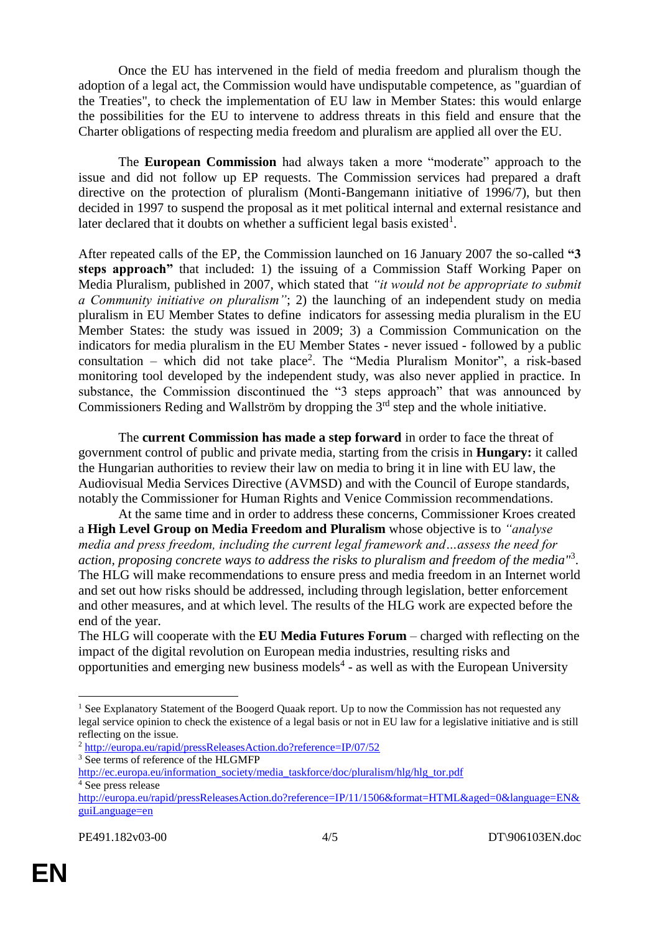Once the EU has intervened in the field of media freedom and pluralism though the adoption of a legal act, the Commission would have undisputable competence, as "guardian of the Treaties", to check the implementation of EU law in Member States: this would enlarge the possibilities for the EU to intervene to address threats in this field and ensure that the Charter obligations of respecting media freedom and pluralism are applied all over the EU.

The **European Commission** had always taken a more "moderate" approach to the issue and did not follow up EP requests. The Commission services had prepared a draft directive on the protection of pluralism (Monti-Bangemann initiative of 1996/7), but then decided in 1997 to suspend the proposal as it met political internal and external resistance and later declared that it doubts on whether a sufficient legal basis existed<sup>1</sup>.

After repeated calls of the EP, the Commission launched on 16 January 2007 the so-called **"3 steps approach"** that included: 1) the issuing of a Commission Staff Working Paper on Media Pluralism, published in 2007, which stated that *"it would not be appropriate to submit a Community initiative on pluralism"*; 2) the launching of an independent study on media pluralism in EU Member States to define indicators for assessing media pluralism in the EU Member States: the study was issued in 2009; 3) a Commission Communication on the indicators for media pluralism in the EU Member States - never issued - followed by a public consultation – which did not take place<sup>2</sup>. The "Media Pluralism Monitor", a risk-based monitoring tool developed by the independent study, was also never applied in practice. In substance, the Commission discontinued the "3 steps approach" that was announced by Commissioners Reding and Wallström by dropping the  $3<sup>rd</sup>$  step and the whole initiative.

The **current Commission has made a step forward** in order to face the threat of government control of public and private media, starting from the crisis in **Hungary:** it called the Hungarian authorities to review their law on media to bring it in line with EU law, the Audiovisual Media Services Directive (AVMSD) and with the Council of Europe standards, notably the Commissioner for Human Rights and Venice Commission recommendations.

At the same time and in order to address these concerns, Commissioner Kroes created a **High Level Group on Media Freedom and Pluralism** whose objective is to *"analyse media and press freedom, including the current legal framework and…assess the need for action, proposing concrete ways to address the risks to pluralism and freedom of the media"* 3 . The HLG will make recommendations to ensure press and media freedom in an Internet world and set out how risks should be addressed, including through legislation, better enforcement and other measures, and at which level. The results of the HLG work are expected before the end of the year.

The HLG will cooperate with the **EU Media Futures Forum** – charged with reflecting on the impact of the digital revolution on European media industries, resulting risks and opportunities and emerging new business models<sup>4</sup> - as well as with the European University

1

<sup>&</sup>lt;sup>1</sup> See Explanatory Statement of the Boogerd Quaak report. Up to now the Commission has not requested any legal service opinion to check the existence of a legal basis or not in EU law for a legislative initiative and is still reflecting on the issue.

<sup>2</sup> <http://europa.eu/rapid/pressReleasesAction.do?reference=IP/07/52>

<sup>&</sup>lt;sup>3</sup> See terms of reference of the HLGMFP

[http://ec.europa.eu/information\\_society/media\\_taskforce/doc/pluralism/hlg/hlg\\_tor.pdf](http://ec.europa.eu/information_society/media_taskforce/doc/pluralism/hlg/hlg_tor.pdf) <sup>4</sup> See press release

[http://europa.eu/rapid/pressReleasesAction.do?reference=IP/11/1506&format=HTML&aged=0&language=EN&](http://europa.eu/rapid/pressReleasesAction.do?reference=IP/11/1506&format=HTML&aged=0&language=EN&guiLanguage=en) [guiLanguage=en](http://europa.eu/rapid/pressReleasesAction.do?reference=IP/11/1506&format=HTML&aged=0&language=EN&guiLanguage=en)